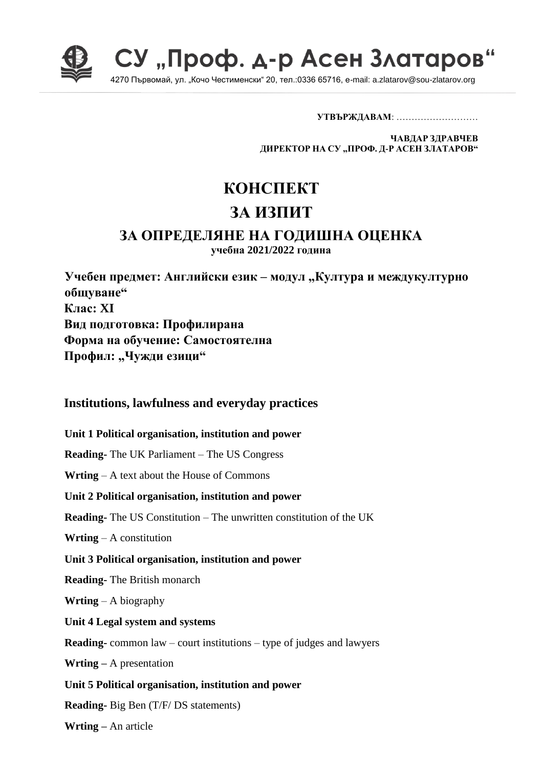

СУ "Проф. д-р Асен Златаров

4270 Първомай, ул. "Кочо Честименски" 20, тел.:0336 65716, e-mail: a.zlatarov@sou-zlatarov.org

**УТВЪРЖДАВАМ**: ………………………

**ЧАВДАР ЗДРАВЧЕВ ДИРЕКТОР НА СУ "ПРОФ. Д-Р АСЕН ЗЛАТАРОВ"**

## **КОНСПЕКТ**

## **ЗА ИЗПИТ**

## **ЗА ОПРЕДЕЛЯНЕ НА ГОДИШНА ОЦЕНКА**

**учебна 2021/2022 година**

**Учебен предмет: Английски език – модул "Култура и междукултурно общуване" Клас: XI Вид подготовка: Профилирана Форма на обучение: Самостоятелна Профил: "Чужди езици"**

## **Institutions, lawfulness and everyday practices**

**Unit 1 Political organisation, institution and power Reading-** The UK Parliament – The US Congress **Wrting** – A text about the House of Commons **Unit 2 Political organisation, institution and power Reading-** The US Constitution – The unwritten constitution of the UK **Wrting** – A constitution **Unit 3 Political organisation, institution and power Reading-** The British monarch **Wrting** – A biography **Unit 4 Legal system and systems Reading-** common law – court institutions – type of judges and lawyers **Wrting –** A presentation **Unit 5 Political organisation, institution and power Reading-** Big Ben (T/F/ DS statements) **Wrting –** An article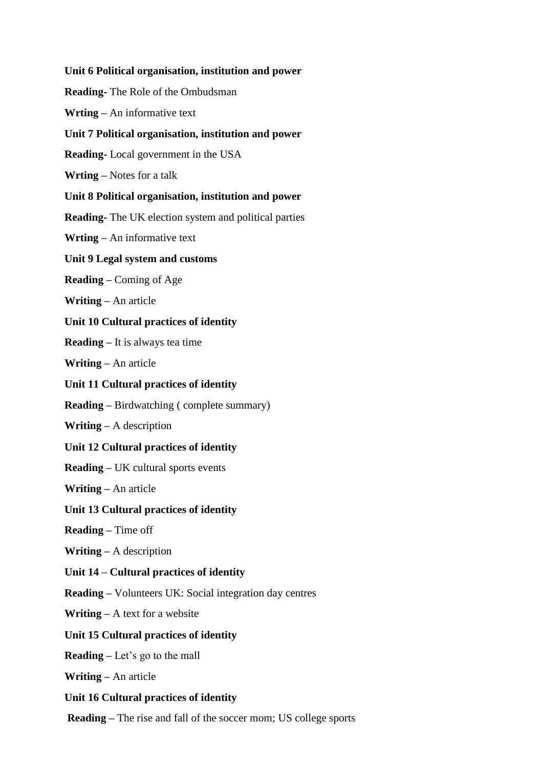**Unit 6 Political organisation, institution and power Reading-** The Role of the Ombudsman **Wrting –** An informative text **Unit 7 Political organisation, institution and power Reading-** Local government in the USA **Wrting –** Notes for a talk **Unit 8 Political organisation, institution and power Reading-** The UK election system and political parties **Wrting –** An informative text **Unit 9 Legal system and customs Reading –** Coming of Age **Writing –** An article **Unit 10 Cultural practices of identity Reading –** It is always tea time **Writing –** An article **Unit 11 Cultural practices of identity Reading –** Birdwatching ( complete summary) **Writing –** A description **Unit 12 Cultural practices of identity Reading –** UK cultural sports events **Writing –** An article **Unit 13 Cultural practices of identity Reading –** Time off **Writing –** A description **Unit 14 – Cultural practices of identity Reading –** Volunteers UK: Social integration day centres **Writing –** A text for a website **Unit 15 Cultural practices of identity Reading –** Let's go to the mall **Writing –** An article **Unit 16 Cultural practices of identity Reading –** The rise and fall of the soccer mom; US college sports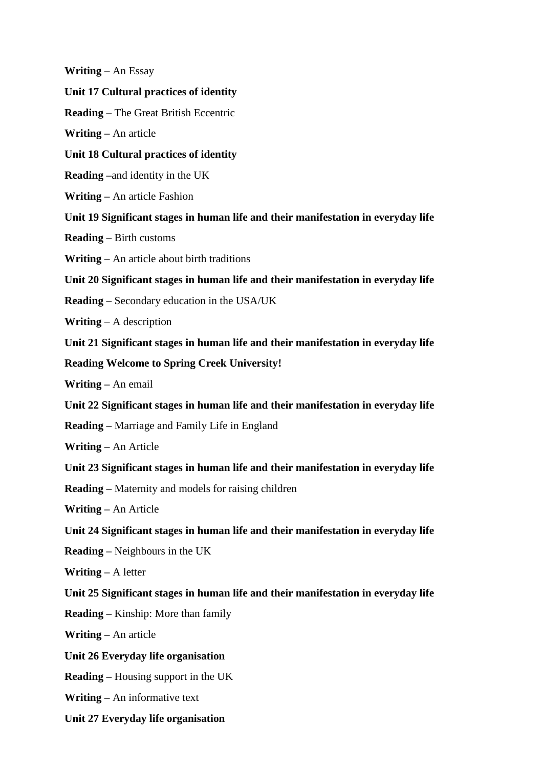| Writing - An Essay                                                                |
|-----------------------------------------------------------------------------------|
| Unit 17 Cultural practices of identity                                            |
| <b>Reading – The Great British Eccentric</b>                                      |
| Writing – An article                                                              |
| Unit 18 Cultural practices of identity                                            |
| <b>Reading</b> – and identity in the UK                                           |
| <b>Writing – An article Fashion</b>                                               |
| Unit 19 Significant stages in human life and their manifestation in everyday life |
| <b>Reading</b> – Birth customs                                                    |
| <b>Writing</b> $-$ An article about birth traditions                              |
| Unit 20 Significant stages in human life and their manifestation in everyday life |
| <b>Reading</b> – Secondary education in the USA/UK                                |
| <b>Writing</b> – A description                                                    |
| Unit 21 Significant stages in human life and their manifestation in everyday life |
| <b>Reading Welcome to Spring Creek University!</b>                                |
| <b>Writing</b> $-$ An email                                                       |
| Unit 22 Significant stages in human life and their manifestation in everyday life |
| <b>Reading</b> – Marriage and Family Life in England                              |
| <b>Writing</b> – An Article                                                       |
| Unit 23 Significant stages in human life and their manifestation in everyday life |
| <b>Reading</b> – Maternity and models for raising children                        |
| <b>Writing – An Article</b>                                                       |
| Unit 24 Significant stages in human life and their manifestation in everyday life |
| <b>Reading</b> – Neighbours in the UK                                             |
| Writing - A letter                                                                |
| Unit 25 Significant stages in human life and their manifestation in everyday life |
| <b>Reading – Kinship: More than family</b>                                        |
| <b>Writing</b> – An article                                                       |
| Unit 26 Everyday life organisation                                                |
| <b>Reading</b> – Housing support in the UK                                        |
| <b>Writing</b> $-$ An informative text                                            |
| Unit 27 Everyday life organisation                                                |